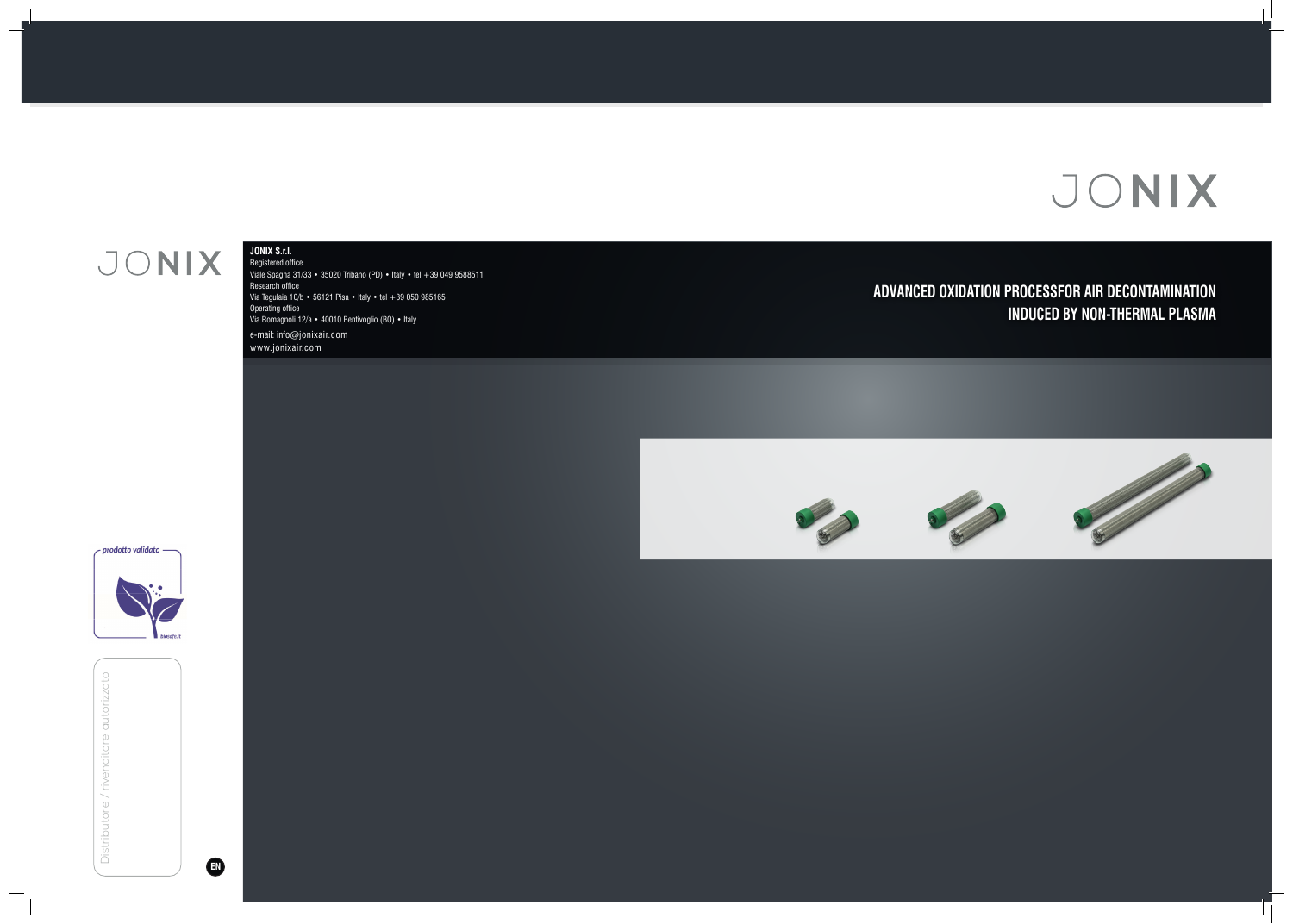## JONIX

 $\overline{\phantom{a}}$ 

### **ADVANCED OXIDATION PROCESSFOR AIR DECONTAMINATION INDUCED BY NON-THERMAL PLASMA**



 $\perp$ 

### **JONIX S.r.l.**  Registered office

Distributore / rivenditore autorizzat Distributore / rivenditore autorizzato

Viale Spagna 31/33 • 35020 Tribano (PD) • Italy • tel +39 049 9588511 Research office Via Tegulaia 10/b • 56121 Pisa • Italy • tel +39 050 985165 Operating office Via Romagnoli 12/a • 40010 Bentivoglio (BO) • Italy e-mail: info@jonixair.com www.jonixair.com

- prodotto validato -

**EN**

# JONIX